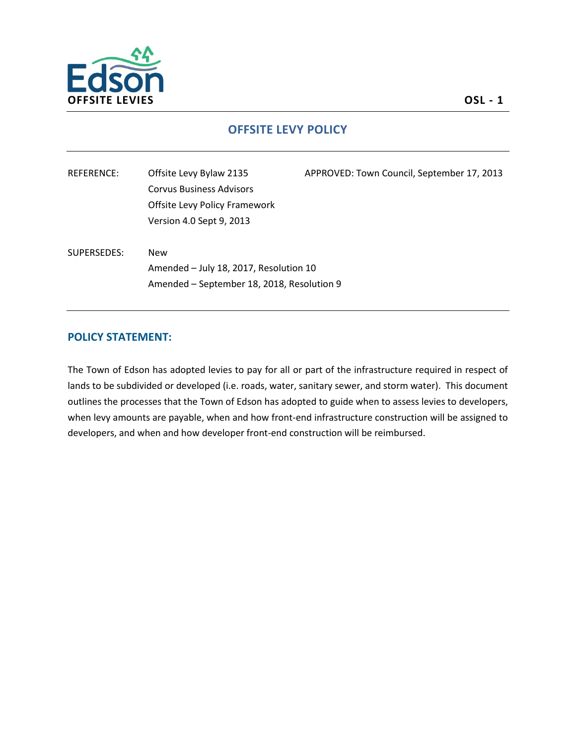

## **OFFSITE LEVY POLICY**

| REFERENCE:  | Offsite Levy Bylaw 2135                    | APPROVED: Town Council, September 17, 2013 |
|-------------|--------------------------------------------|--------------------------------------------|
|             | <b>Corvus Business Advisors</b>            |                                            |
|             | Offsite Levy Policy Framework              |                                            |
|             | Version 4.0 Sept 9, 2013                   |                                            |
|             |                                            |                                            |
| SUPERSEDES: | <b>New</b>                                 |                                            |
|             | Amended - July 18, 2017, Resolution 10     |                                            |
|             | Amended - September 18, 2018, Resolution 9 |                                            |
|             |                                            |                                            |

#### **POLICY STATEMENT:**

The Town of Edson has adopted levies to pay for all or part of the infrastructure required in respect of lands to be subdivided or developed (i.e. roads, water, sanitary sewer, and storm water). This document outlines the processes that the Town of Edson has adopted to guide when to assess levies to developers, when levy amounts are payable, when and how front-end infrastructure construction will be assigned to developers, and when and how developer front-end construction will be reimbursed.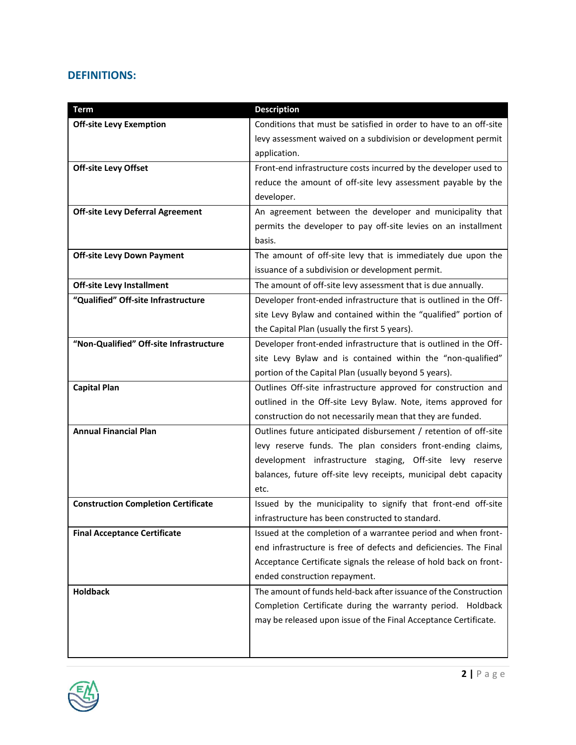## **DEFINITIONS:**

| <b>Term</b>                                | <b>Description</b>                                                |  |
|--------------------------------------------|-------------------------------------------------------------------|--|
| <b>Off-site Levy Exemption</b>             | Conditions that must be satisfied in order to have to an off-site |  |
|                                            | levy assessment waived on a subdivision or development permit     |  |
|                                            | application.                                                      |  |
| <b>Off-site Levy Offset</b>                | Front-end infrastructure costs incurred by the developer used to  |  |
|                                            | reduce the amount of off-site levy assessment payable by the      |  |
|                                            | developer.                                                        |  |
| <b>Off-site Levy Deferral Agreement</b>    | An agreement between the developer and municipality that          |  |
|                                            | permits the developer to pay off-site levies on an installment    |  |
|                                            | basis.                                                            |  |
| <b>Off-site Levy Down Payment</b>          | The amount of off-site levy that is immediately due upon the      |  |
|                                            | issuance of a subdivision or development permit.                  |  |
| <b>Off-site Levy Installment</b>           | The amount of off-site levy assessment that is due annually.      |  |
| "Qualified" Off-site Infrastructure        | Developer front-ended infrastructure that is outlined in the Off- |  |
|                                            | site Levy Bylaw and contained within the "qualified" portion of   |  |
|                                            | the Capital Plan (usually the first 5 years).                     |  |
| "Non-Qualified" Off-site Infrastructure    | Developer front-ended infrastructure that is outlined in the Off- |  |
|                                            | site Levy Bylaw and is contained within the "non-qualified"       |  |
|                                            | portion of the Capital Plan (usually beyond 5 years).             |  |
| <b>Capital Plan</b>                        | Outlines Off-site infrastructure approved for construction and    |  |
|                                            | outlined in the Off-site Levy Bylaw. Note, items approved for     |  |
|                                            | construction do not necessarily mean that they are funded.        |  |
| <b>Annual Financial Plan</b>               | Outlines future anticipated disbursement / retention of off-site  |  |
|                                            | levy reserve funds. The plan considers front-ending claims,       |  |
|                                            | development infrastructure staging, Off-site levy reserve         |  |
|                                            | balances, future off-site levy receipts, municipal debt capacity  |  |
|                                            | etc.                                                              |  |
| <b>Construction Completion Certificate</b> | Issued by the municipality to signify that front-end off-site     |  |
|                                            | infrastructure has been constructed to standard.                  |  |
| <b>Final Acceptance Certificate</b>        | Issued at the completion of a warrantee period and when front-    |  |
|                                            | end infrastructure is free of defects and deficiencies. The Final |  |
|                                            | Acceptance Certificate signals the release of hold back on front- |  |
|                                            | ended construction repayment.                                     |  |
| <b>Holdback</b>                            | The amount of funds held-back after issuance of the Construction  |  |
|                                            | Completion Certificate during the warranty period. Holdback       |  |
|                                            | may be released upon issue of the Final Acceptance Certificate.   |  |
|                                            |                                                                   |  |
|                                            |                                                                   |  |

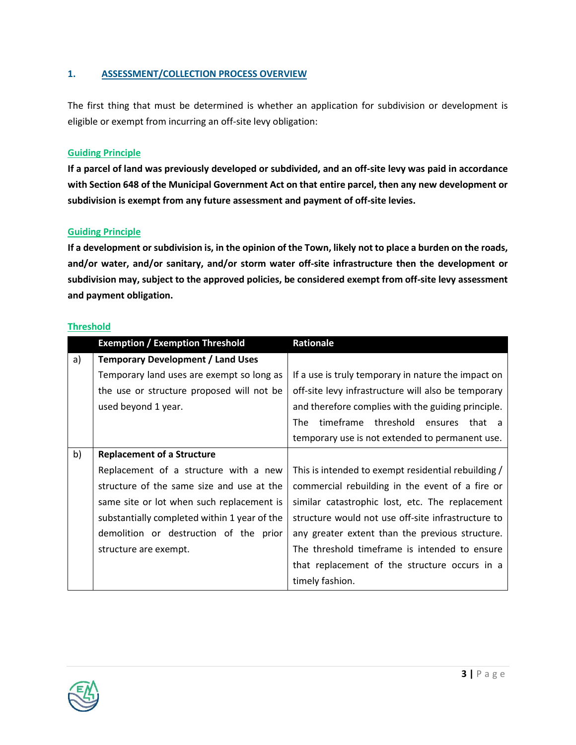#### **1. ASSESSMENT/COLLECTION PROCESS OVERVIEW**

The first thing that must be determined is whether an application for subdivision or development is eligible or exempt from incurring an off-site levy obligation:

#### **Guiding Principle**

**If a parcel of land was previously developed or subdivided, and an off-site levy was paid in accordance with Section 648 of the Municipal Government Act on that entire parcel, then any new development or subdivision is exempt from any future assessment and payment of off-site levies.**

#### **Guiding Principle**

**If a development or subdivision is, in the opinion of the Town, likely not to place a burden on the roads, and/or water, and/or sanitary, and/or storm water off-site infrastructure then the development or subdivision may, subject to the approved policies, be considered exempt from off-site levy assessment and payment obligation.**

#### **Threshold**

|    | <b>Exemption / Exemption Threshold</b>       | Rationale                                           |
|----|----------------------------------------------|-----------------------------------------------------|
| a) | <b>Temporary Development / Land Uses</b>     |                                                     |
|    | Temporary land uses are exempt so long as    | If a use is truly temporary in nature the impact on |
|    | the use or structure proposed will not be    | off-site levy infrastructure will also be temporary |
|    | used beyond 1 year.                          | and therefore complies with the guiding principle.  |
|    |                                              | threshold ensures<br>The<br>timeframe<br>that       |
|    |                                              | temporary use is not extended to permanent use.     |
| b) | <b>Replacement of a Structure</b>            |                                                     |
|    | Replacement of a structure with a new        | This is intended to exempt residential rebuilding / |
|    | structure of the same size and use at the    | commercial rebuilding in the event of a fire or     |
|    | same site or lot when such replacement is    | similar catastrophic lost, etc. The replacement     |
|    | substantially completed within 1 year of the | structure would not use off-site infrastructure to  |
|    | demolition or destruction of the prior       | any greater extent than the previous structure.     |
|    | structure are exempt.                        | The threshold timeframe is intended to ensure       |
|    |                                              | that replacement of the structure occurs in a       |
|    |                                              | timely fashion.                                     |

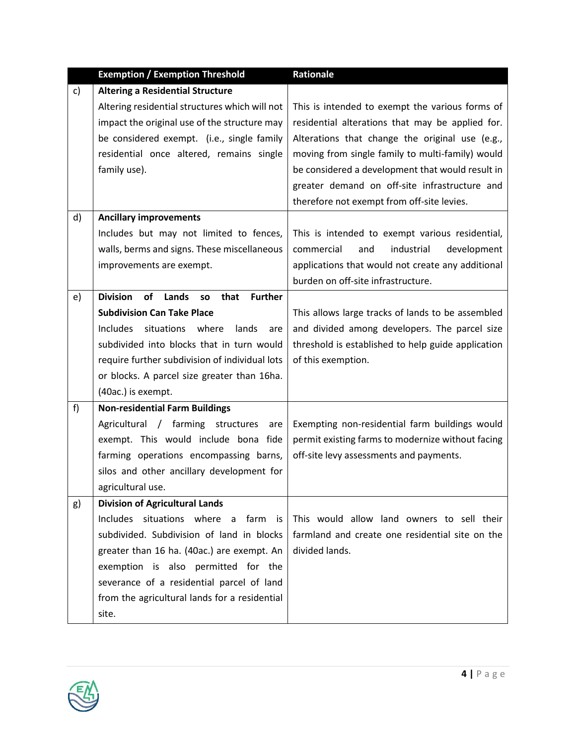|    | <b>Exemption / Exemption Threshold</b>                                       | Rationale                                          |
|----|------------------------------------------------------------------------------|----------------------------------------------------|
| c) | <b>Altering a Residential Structure</b>                                      |                                                    |
|    | Altering residential structures which will not                               | This is intended to exempt the various forms of    |
|    | impact the original use of the structure may                                 | residential alterations that may be applied for.   |
|    | be considered exempt. (i.e., single family                                   | Alterations that change the original use (e.g.,    |
|    | residential once altered, remains single                                     | moving from single family to multi-family) would   |
|    | family use).                                                                 | be considered a development that would result in   |
|    |                                                                              | greater demand on off-site infrastructure and      |
|    |                                                                              | therefore not exempt from off-site levies.         |
| d) | <b>Ancillary improvements</b>                                                |                                                    |
|    | Includes but may not limited to fences,                                      | This is intended to exempt various residential,    |
|    | walls, berms and signs. These miscellaneous                                  | industrial<br>commercial<br>development<br>and     |
|    | improvements are exempt.                                                     | applications that would not create any additional  |
|    |                                                                              | burden on off-site infrastructure.                 |
| e) | <b>Division</b><br>Lands<br><b>Further</b><br><b>of</b><br>that<br><b>SO</b> |                                                    |
|    | <b>Subdivision Can Take Place</b>                                            | This allows large tracks of lands to be assembled  |
|    | <b>Includes</b><br>situations where<br>lands<br>are                          | and divided among developers. The parcel size      |
|    | subdivided into blocks that in turn would                                    | threshold is established to help guide application |
|    | require further subdivision of individual lots                               | of this exemption.                                 |
|    | or blocks. A parcel size greater than 16ha.                                  |                                                    |
|    | (40ac.) is exempt.                                                           |                                                    |
| f) | <b>Non-residential Farm Buildings</b>                                        |                                                    |
|    | Agricultural / farming structures<br>are                                     | Exempting non-residential farm buildings would     |
|    | exempt. This would include bona fide                                         | permit existing farms to modernize without facing  |
|    | farming operations encompassing barns,                                       | off-site levy assessments and payments.            |
|    | silos and other ancillary development for                                    |                                                    |
|    | agricultural use.                                                            |                                                    |
| g) | <b>Division of Agricultural Lands</b>                                        |                                                    |
|    | Includes situations where<br>a farm is                                       | This would allow land owners to sell their         |
|    | subdivided. Subdivision of land in blocks                                    | farmland and create one residential site on the    |
|    | greater than 16 ha. (40ac.) are exempt. An                                   | divided lands.                                     |
|    | exemption is also permitted for the                                          |                                                    |
|    | severance of a residential parcel of land                                    |                                                    |
|    | from the agricultural lands for a residential                                |                                                    |
|    | site.                                                                        |                                                    |

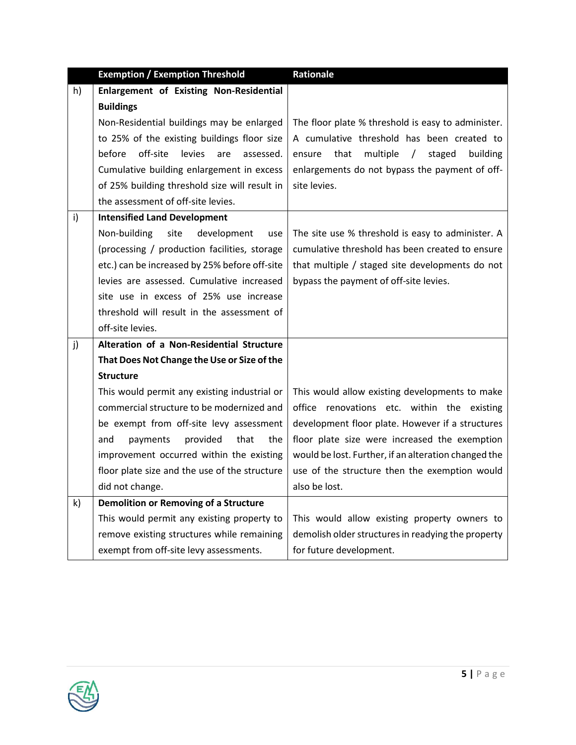|    | <b>Exemption / Exemption Threshold</b>           | Rationale                                                   |
|----|--------------------------------------------------|-------------------------------------------------------------|
| h) | Enlargement of Existing Non-Residential          |                                                             |
|    | <b>Buildings</b>                                 |                                                             |
|    | Non-Residential buildings may be enlarged        | The floor plate % threshold is easy to administer.          |
|    | to 25% of the existing buildings floor size      | A cumulative threshold has been created to                  |
|    | off-site<br>levies<br>before<br>are<br>assessed. | ensure that<br>multiple<br>$\sqrt{2}$<br>staged<br>building |
|    | Cumulative building enlargement in excess        | enlargements do not bypass the payment of off-              |
|    | of 25% building threshold size will result in    | site levies.                                                |
|    | the assessment of off-site levies.               |                                                             |
| i) | <b>Intensified Land Development</b>              |                                                             |
|    | Non-building<br>site<br>development<br>use       | The site use % threshold is easy to administer. A           |
|    | (processing / production facilities, storage     | cumulative threshold has been created to ensure             |
|    | etc.) can be increased by 25% before off-site    | that multiple / staged site developments do not             |
|    | levies are assessed. Cumulative increased        | bypass the payment of off-site levies.                      |
|    | site use in excess of 25% use increase           |                                                             |
|    | threshold will result in the assessment of       |                                                             |
|    | off-site levies.                                 |                                                             |
| j) | Alteration of a Non-Residential Structure        |                                                             |
|    | That Does Not Change the Use or Size of the      |                                                             |
|    | <b>Structure</b>                                 |                                                             |
|    | This would permit any existing industrial or     | This would allow existing developments to make              |
|    | commercial structure to be modernized and        | office renovations etc. within the existing                 |
|    | be exempt from off-site levy assessment          | development floor plate. However if a structures            |
|    | provided<br>that<br>and<br>payments<br>the       | floor plate size were increased the exemption               |
|    | improvement occurred within the existing         | would be lost. Further, if an alteration changed the        |
|    | floor plate size and the use of the structure    | use of the structure then the exemption would               |
|    | did not change.                                  | also be lost.                                               |
| k) | <b>Demolition or Removing of a Structure</b>     |                                                             |
|    | This would permit any existing property to       | This would allow existing property owners to                |
|    | remove existing structures while remaining       | demolish older structures in readying the property          |
|    | exempt from off-site levy assessments.           | for future development.                                     |

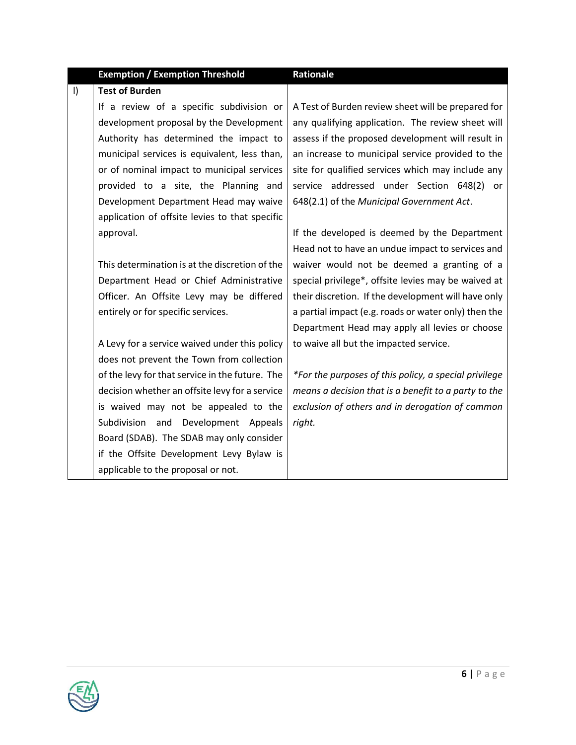## **Exemption / Exemption Threshold Rationale**

| $\vert$ | <b>Test of Burden</b>                           |                                                       |
|---------|-------------------------------------------------|-------------------------------------------------------|
|         | If a review of a specific subdivision or        | A Test of Burden review sheet will be prepared for    |
|         | development proposal by the Development         | any qualifying application. The review sheet will     |
|         | Authority has determined the impact to          | assess if the proposed development will result in     |
|         | municipal services is equivalent, less than,    | an increase to municipal service provided to the      |
|         | or of nominal impact to municipal services      | site for qualified services which may include any     |
|         | provided to a site, the Planning and            | service addressed under Section 648(2) or             |
|         | Development Department Head may waive           | 648(2.1) of the Municipal Government Act.             |
|         | application of offsite levies to that specific  |                                                       |
|         | approval.                                       | If the developed is deemed by the Department          |
|         |                                                 | Head not to have an undue impact to services and      |
|         | This determination is at the discretion of the  | waiver would not be deemed a granting of a            |
|         | Department Head or Chief Administrative         | special privilege*, offsite levies may be waived at   |
|         | Officer. An Offsite Levy may be differed        | their discretion. If the development will have only   |
|         | entirely or for specific services.              | a partial impact (e.g. roads or water only) then the  |
|         |                                                 | Department Head may apply all levies or choose        |
|         | A Levy for a service waived under this policy   | to waive all but the impacted service.                |
|         | does not prevent the Town from collection       |                                                       |
|         | of the levy for that service in the future. The | *For the purposes of this policy, a special privilege |
|         | decision whether an offsite levy for a service  | means a decision that is a benefit to a party to the  |
|         | is waived may not be appealed to the            | exclusion of others and in derogation of common       |
|         | Subdivision and Development Appeals             | right.                                                |
|         | Board (SDAB). The SDAB may only consider        |                                                       |
|         | if the Offsite Development Levy Bylaw is        |                                                       |
|         | applicable to the proposal or not.              |                                                       |

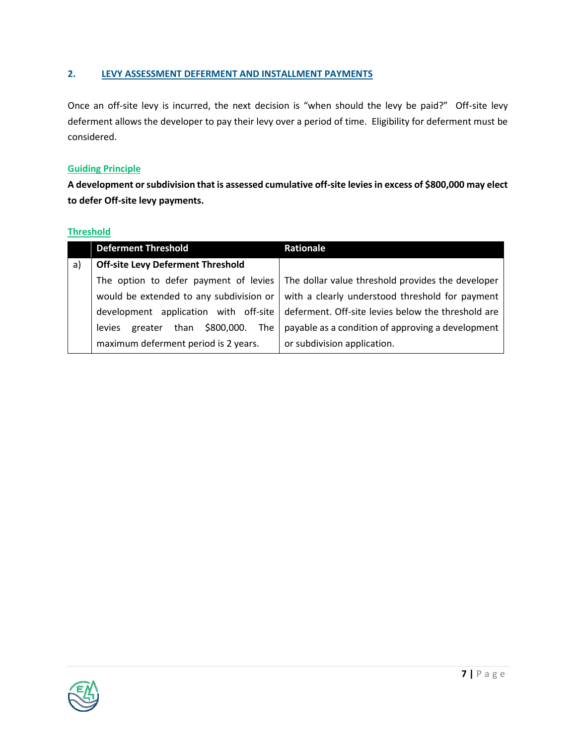#### **2. LEVY ASSESSMENT DEFERMENT AND INSTALLMENT PAYMENTS**

Once an off-site levy is incurred, the next decision is "when should the levy be paid?" Off-site levy deferment allows the developer to pay their levy over a period of time. Eligibility for deferment must be considered.

#### **Guiding Principle**

**A development or subdivision that is assessed cumulative off-site levies in excess of \$800,000 may elect to defer Off-site levy payments.**

#### **Threshold**

|    | <b>Deferment Threshold</b>                         | Rationale                                          |
|----|----------------------------------------------------|----------------------------------------------------|
| a) | <b>Off-site Levy Deferment Threshold</b>           |                                                    |
|    | The option to defer payment of levies              | The dollar value threshold provides the developer  |
|    | would be extended to any subdivision or            | with a clearly understood threshold for payment    |
|    | development application with off-site              | deferment. Off-site levies below the threshold are |
|    | than \$800,000.<br>The<br><b>levies</b><br>greater | payable as a condition of approving a development  |
|    | maximum deferment period is 2 years.               | or subdivision application.                        |

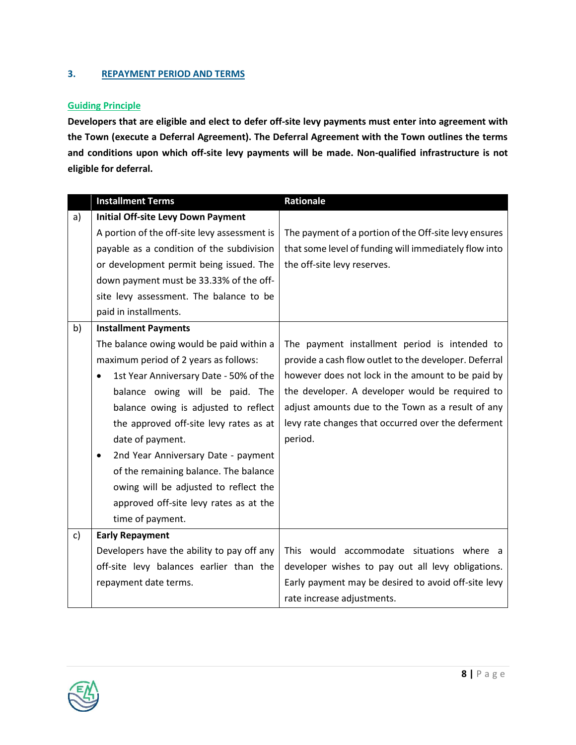#### **3. REPAYMENT PERIOD AND TERMS**

#### **Guiding Principle**

**Developers that are eligible and elect to defer off-site levy payments must enter into agreement with the Town (execute a Deferral Agreement). The Deferral Agreement with the Town outlines the terms and conditions upon which off-site levy payments will be made. Non-qualified infrastructure is not eligible for deferral.**

|              | <b>Installment Terms</b>                            | Rationale                                             |
|--------------|-----------------------------------------------------|-------------------------------------------------------|
| a)           | <b>Initial Off-site Levy Down Payment</b>           |                                                       |
|              | A portion of the off-site levy assessment is        | The payment of a portion of the Off-site levy ensures |
|              | payable as a condition of the subdivision           | that some level of funding will immediately flow into |
|              | or development permit being issued. The             | the off-site levy reserves.                           |
|              | down payment must be 33.33% of the off-             |                                                       |
|              | site levy assessment. The balance to be             |                                                       |
|              | paid in installments.                               |                                                       |
| b)           | <b>Installment Payments</b>                         |                                                       |
|              | The balance owing would be paid within a            | The payment installment period is intended to         |
|              | maximum period of 2 years as follows:               | provide a cash flow outlet to the developer. Deferral |
|              | 1st Year Anniversary Date - 50% of the<br>$\bullet$ | however does not lock in the amount to be paid by     |
|              | balance owing will be paid. The                     | the developer. A developer would be required to       |
|              | balance owing is adjusted to reflect                | adjust amounts due to the Town as a result of any     |
|              | the approved off-site levy rates as at              | levy rate changes that occurred over the deferment    |
|              | date of payment.                                    | period.                                               |
|              | 2nd Year Anniversary Date - payment<br>$\bullet$    |                                                       |
|              | of the remaining balance. The balance               |                                                       |
|              | owing will be adjusted to reflect the               |                                                       |
|              | approved off-site levy rates as at the              |                                                       |
|              | time of payment.                                    |                                                       |
| $\mathsf{c}$ | <b>Early Repayment</b>                              |                                                       |
|              | Developers have the ability to pay off any          | This would accommodate situations where a             |
|              | off-site levy balances earlier than the             | developer wishes to pay out all levy obligations.     |
|              | repayment date terms.                               | Early payment may be desired to avoid off-site levy   |
|              |                                                     | rate increase adjustments.                            |

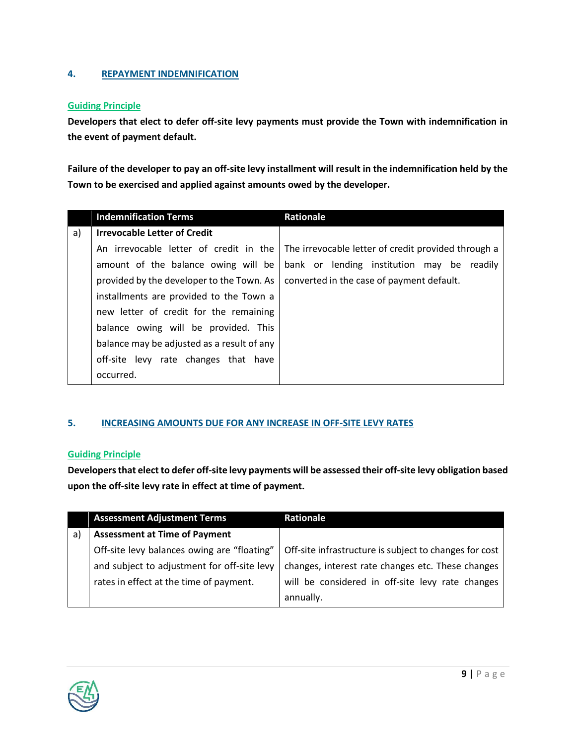#### **4. REPAYMENT INDEMNIFICATION**

#### **Guiding Principle**

**Developers that elect to defer off-site levy payments must provide the Town with indemnification in the event of payment default.**

**Failure of the developer to pay an off-site levy installment will result in the indemnification held by the Town to be exercised and applied against amounts owed by the developer.** 

|    | <b>Indemnification Terms</b>               | <b>Rationale</b>                                    |
|----|--------------------------------------------|-----------------------------------------------------|
| a) | <b>Irrevocable Letter of Credit</b>        |                                                     |
|    | An irrevocable letter of credit in the     | The irrevocable letter of credit provided through a |
|    | amount of the balance owing will be        | bank or lending institution may be readily          |
|    | provided by the developer to the Town. As  | converted in the case of payment default.           |
|    | installments are provided to the Town a    |                                                     |
|    | new letter of credit for the remaining     |                                                     |
|    | balance owing will be provided. This       |                                                     |
|    | balance may be adjusted as a result of any |                                                     |
|    | off-site levy rate changes that have       |                                                     |
|    | occurred.                                  |                                                     |

#### **5. INCREASING AMOUNTS DUE FOR ANY INCREASE IN OFF-SITE LEVY RATES**

#### **Guiding Principle**

**Developers that elect to defer off-site levy payments will be assessed their off-site levy obligation based upon the off-site levy rate in effect at time of payment.** 

|    | <b>Assessment Adjustment Terms</b>          | <b>Rationale</b>                                       |
|----|---------------------------------------------|--------------------------------------------------------|
| a) | <b>Assessment at Time of Payment</b>        |                                                        |
|    | Off-site levy balances owing are "floating" | Off-site infrastructure is subject to changes for cost |
|    | and subject to adjustment for off-site levy | changes, interest rate changes etc. These changes      |
|    | rates in effect at the time of payment.     | will be considered in off-site levy rate changes       |
|    |                                             | annually.                                              |

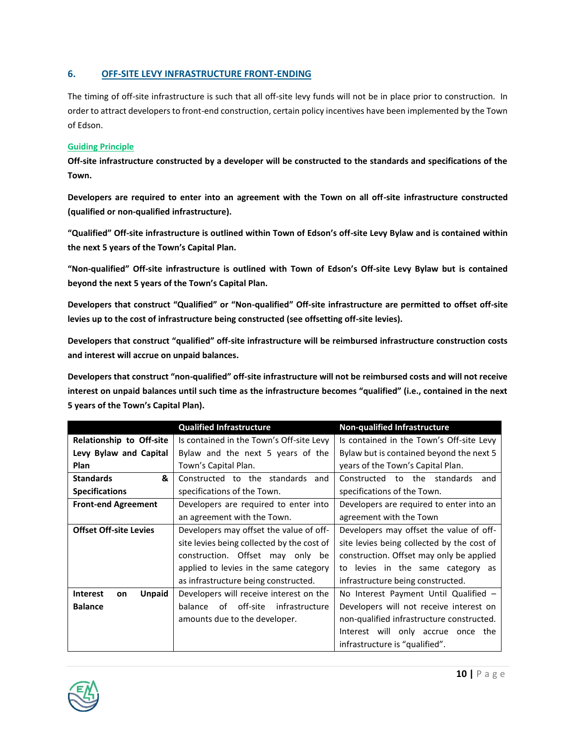#### **6. OFF-SITE LEVY INFRASTRUCTURE FRONT-ENDING**

The timing of off-site infrastructure is such that all off-site levy funds will not be in place prior to construction. In order to attract developers to front-end construction, certain policy incentives have been implemented by the Town of Edson.

#### **Guiding Principle**

**Off-site infrastructure constructed by a developer will be constructed to the standards and specifications of the Town.**

**Developers are required to enter into an agreement with the Town on all off-site infrastructure constructed (qualified or non-qualified infrastructure).** 

**"Qualified" Off-site infrastructure is outlined within Town of Edson's off-site Levy Bylaw and is contained within the next 5 years of the Town's Capital Plan.**

**"Non-qualified" Off-site infrastructure is outlined with Town of Edson's Off-site Levy Bylaw but is contained beyond the next 5 years of the Town's Capital Plan.** 

**Developers that construct "Qualified" or "Non-qualified" Off-site infrastructure are permitted to offset off-site levies up to the cost of infrastructure being constructed (see offsetting off-site levies).** 

**Developers that construct "qualified" off-site infrastructure will be reimbursed infrastructure construction costs and interest will accrue on unpaid balances.**

**Developers that construct "non-qualified" off-site infrastructure will not be reimbursed costs and will not receive interest on unpaid balances until such time as the infrastructure becomes "qualified" (i.e., contained in the next 5 years of the Town's Capital Plan).**

|                                 | <b>Qualified Infrastructure</b>             | <b>Non-qualified Infrastructure</b>        |
|---------------------------------|---------------------------------------------|--------------------------------------------|
| Relationship to Off-site        | Is contained in the Town's Off-site Levy    | Is contained in the Town's Off-site Levy   |
| Levy Bylaw and Capital          | Bylaw and the next 5 years of the           | Bylaw but is contained beyond the next 5   |
| Plan                            | Town's Capital Plan.                        | years of the Town's Capital Plan.          |
| &<br><b>Standards</b>           | Constructed to the standards<br>and         | Constructed to the standards<br>and        |
| <b>Specifications</b>           | specifications of the Town.                 | specifications of the Town.                |
| <b>Front-end Agreement</b>      | Developers are required to enter into       | Developers are required to enter into an   |
|                                 | an agreement with the Town.                 | agreement with the Town                    |
| <b>Offset Off-site Levies</b>   | Developers may offset the value of off-     | Developers may offset the value of off-    |
|                                 | site levies being collected by the cost of  | site levies being collected by the cost of |
|                                 | construction. Offset may only be            | construction. Offset may only be applied   |
|                                 | applied to levies in the same category      | to levies in the same category as          |
|                                 | as infrastructure being constructed.        | infrastructure being constructed.          |
| <b>Interest</b><br>Unpaid<br>on | Developers will receive interest on the     | No Interest Payment Until Qualified -      |
| <b>Balance</b>                  | off-site<br>of<br>infrastructure<br>balance | Developers will not receive interest on    |
|                                 | amounts due to the developer.               | non-qualified infrastructure constructed.  |
|                                 |                                             | Interest will only accrue once the         |
|                                 |                                             | infrastructure is "qualified".             |

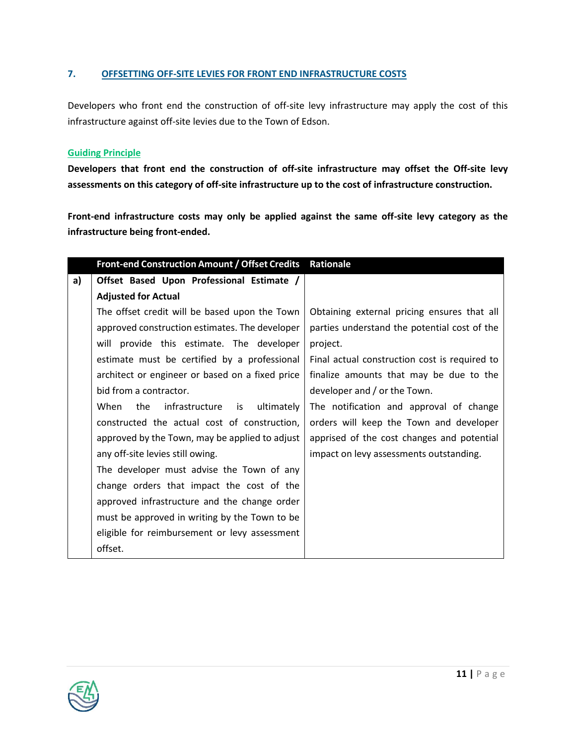#### **7. OFFSETTING OFF-SITE LEVIES FOR FRONT END INFRASTRUCTURE COSTS**

Developers who front end the construction of off-site levy infrastructure may apply the cost of this infrastructure against off-site levies due to the Town of Edson.

#### **Guiding Principle**

**Developers that front end the construction of off-site infrastructure may offset the Off-site levy assessments on this category of off-site infrastructure up to the cost of infrastructure construction.**

**Front-end infrastructure costs may only be applied against the same off-site levy category as the infrastructure being front-ended.**

|    | Front-end Construction Amount / Offset Credits Rationale |                                               |
|----|----------------------------------------------------------|-----------------------------------------------|
| a) | Offset Based Upon Professional Estimate /                |                                               |
|    | <b>Adjusted for Actual</b>                               |                                               |
|    | The offset credit will be based upon the Town            | Obtaining external pricing ensures that all   |
|    | approved construction estimates. The developer           | parties understand the potential cost of the  |
|    | will provide this estimate. The developer                | project.                                      |
|    | estimate must be certified by a professional             | Final actual construction cost is required to |
|    | architect or engineer or based on a fixed price          | finalize amounts that may be due to the       |
|    | bid from a contractor.                                   | developer and / or the Town.                  |
|    | ultimately<br>When<br>the<br>infrastructure<br>is        | The notification and approval of change       |
|    | constructed the actual cost of construction,             | orders will keep the Town and developer       |
|    | approved by the Town, may be applied to adjust           | apprised of the cost changes and potential    |
|    | any off-site levies still owing.                         | impact on levy assessments outstanding.       |
|    | The developer must advise the Town of any                |                                               |
|    | change orders that impact the cost of the                |                                               |
|    | approved infrastructure and the change order             |                                               |
|    | must be approved in writing by the Town to be            |                                               |
|    | eligible for reimbursement or levy assessment            |                                               |
|    | offset.                                                  |                                               |

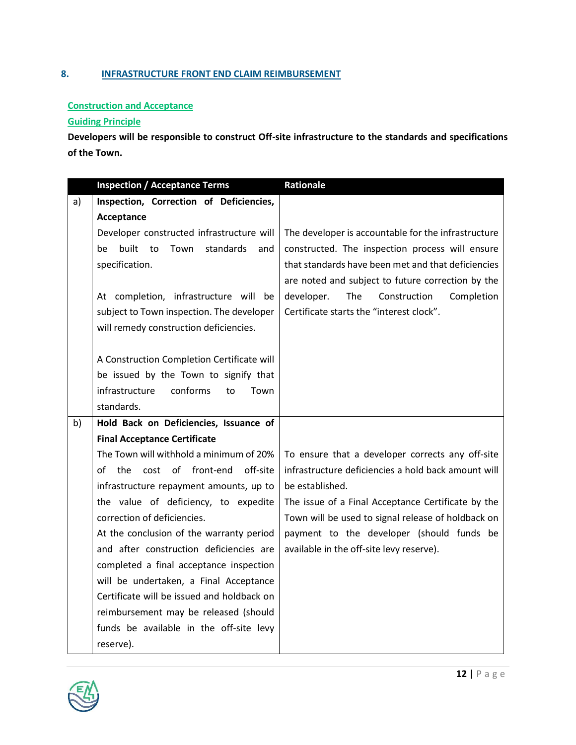## **8. INFRASTRUCTURE FRONT END CLAIM REIMBURSEMENT**

#### **Construction and Acceptance**

## **Guiding Principle**

**Developers will be responsible to construct Off-site infrastructure to the standards and specifications of the Town.**

|    | <b>Inspection / Acceptance Terms</b>                                                 | Rationale                                           |  |  |  |
|----|--------------------------------------------------------------------------------------|-----------------------------------------------------|--|--|--|
| a) | Inspection, Correction of Deficiencies,                                              |                                                     |  |  |  |
|    | Acceptance                                                                           |                                                     |  |  |  |
|    | Developer constructed infrastructure will                                            | The developer is accountable for the infrastructure |  |  |  |
|    | built<br>to<br>Town<br>standards<br>be<br>and                                        | constructed. The inspection process will ensure     |  |  |  |
|    | specification.                                                                       | that standards have been met and that deficiencies  |  |  |  |
|    |                                                                                      | are noted and subject to future correction by the   |  |  |  |
|    | At completion, infrastructure will be                                                | developer.<br>The<br>Completion<br>Construction     |  |  |  |
|    | subject to Town inspection. The developer                                            | Certificate starts the "interest clock".            |  |  |  |
|    | will remedy construction deficiencies.                                               |                                                     |  |  |  |
|    |                                                                                      |                                                     |  |  |  |
|    | A Construction Completion Certificate will                                           |                                                     |  |  |  |
|    | be issued by the Town to signify that                                                |                                                     |  |  |  |
|    | infrastructure<br>conforms<br>to<br>Town                                             |                                                     |  |  |  |
|    | standards.                                                                           |                                                     |  |  |  |
| b) | Hold Back on Deficiencies, Issuance of                                               |                                                     |  |  |  |
|    | <b>Final Acceptance Certificate</b>                                                  |                                                     |  |  |  |
|    | The Town will withhold a minimum of 20%                                              | To ensure that a developer corrects any off-site    |  |  |  |
|    | cost of front-end<br>off-site<br>оf<br>the                                           | infrastructure deficiencies a hold back amount will |  |  |  |
|    | infrastructure repayment amounts, up to                                              | be established.                                     |  |  |  |
|    | the value of deficiency, to expedite                                                 | The issue of a Final Acceptance Certificate by the  |  |  |  |
|    | correction of deficiencies.                                                          | Town will be used to signal release of holdback on  |  |  |  |
|    | At the conclusion of the warranty period                                             | payment to the developer (should funds be           |  |  |  |
|    | and after construction deficiencies are                                              | available in the off-site levy reserve).            |  |  |  |
|    | completed a final acceptance inspection                                              |                                                     |  |  |  |
|    | will be undertaken, a Final Acceptance<br>Certificate will be issued and holdback on |                                                     |  |  |  |
|    |                                                                                      |                                                     |  |  |  |
|    | reimbursement may be released (should<br>funds be available in the off-site levy     |                                                     |  |  |  |
|    | reserve).                                                                            |                                                     |  |  |  |
|    |                                                                                      |                                                     |  |  |  |

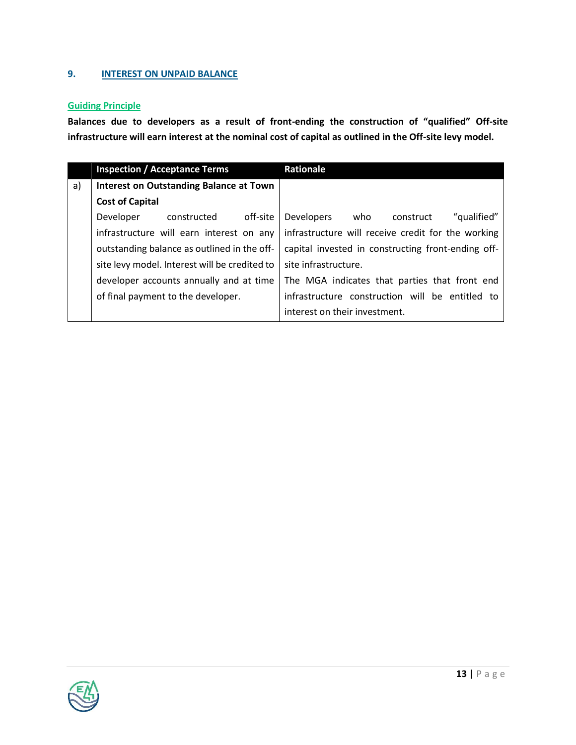#### **9. INTEREST ON UNPAID BALANCE**

### **Guiding Principle**

**Balances due to developers as a result of front-ending the construction of "qualified" Off-site infrastructure will earn interest at the nominal cost of capital as outlined in the Off-site levy model.**

|    | <b>Inspection / Acceptance Terms</b>           | Rationale                                            |  |  |  |
|----|------------------------------------------------|------------------------------------------------------|--|--|--|
| a) | <b>Interest on Outstanding Balance at Town</b> |                                                      |  |  |  |
|    | <b>Cost of Capital</b>                         |                                                      |  |  |  |
|    | off-site<br>constructed<br>Developer           | <b>Developers</b><br>"qualified"<br>who<br>construct |  |  |  |
|    | infrastructure will earn interest on any       | infrastructure will receive credit for the working   |  |  |  |
|    | outstanding balance as outlined in the off-    | capital invested in constructing front-ending off-   |  |  |  |
|    | site levy model. Interest will be credited to  | site infrastructure.                                 |  |  |  |
|    | developer accounts annually and at time        | The MGA indicates that parties that front end        |  |  |  |
|    | of final payment to the developer.             | infrastructure construction will be entitled to      |  |  |  |
|    |                                                | interest on their investment.                        |  |  |  |

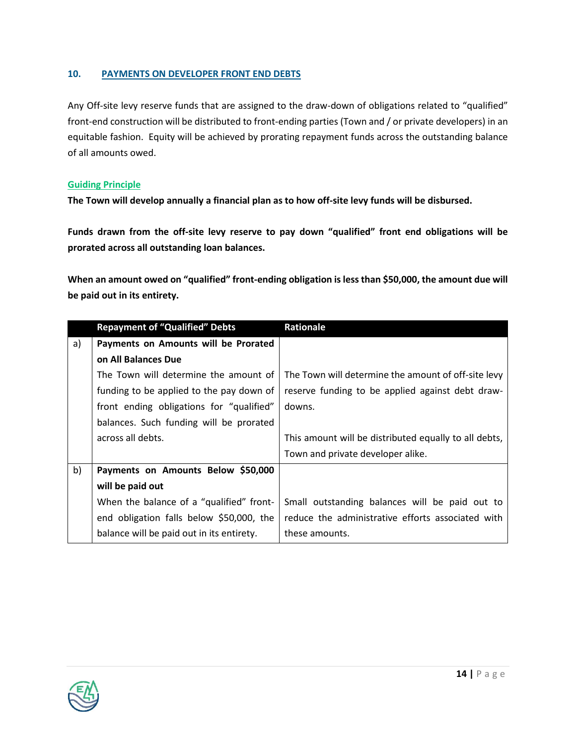#### **10. PAYMENTS ON DEVELOPER FRONT END DEBTS**

Any Off-site levy reserve funds that are assigned to the draw-down of obligations related to "qualified" front-end construction will be distributed to front-ending parties (Town and / or private developers) in an equitable fashion. Equity will be achieved by prorating repayment funds across the outstanding balance of all amounts owed.

#### **Guiding Principle**

**The Town will develop annually a financial plan as to how off-site levy funds will be disbursed.** 

**Funds drawn from the off-site levy reserve to pay down "qualified" front end obligations will be prorated across all outstanding loan balances.**

**When an amount owed on "qualified" front-ending obligation is less than \$50,000, the amount due will be paid out in its entirety.**

|    | <b>Repayment of "Qualified" Debts</b>     | Rationale                                             |
|----|-------------------------------------------|-------------------------------------------------------|
| a) | Payments on Amounts will be Prorated      |                                                       |
|    | on All Balances Due                       |                                                       |
|    | The Town will determine the amount of     | The Town will determine the amount of off-site levy   |
|    | funding to be applied to the pay down of  | reserve funding to be applied against debt draw-      |
|    | front ending obligations for "qualified"  | downs.                                                |
|    | balances. Such funding will be prorated   |                                                       |
|    | across all debts.                         | This amount will be distributed equally to all debts, |
|    |                                           | Town and private developer alike.                     |
| b) | Payments on Amounts Below \$50,000        |                                                       |
|    | will be paid out                          |                                                       |
|    | When the balance of a "qualified" front-  | Small outstanding balances will be paid out to        |
|    | end obligation falls below \$50,000, the  | reduce the administrative efforts associated with     |
|    | balance will be paid out in its entirety. | these amounts.                                        |